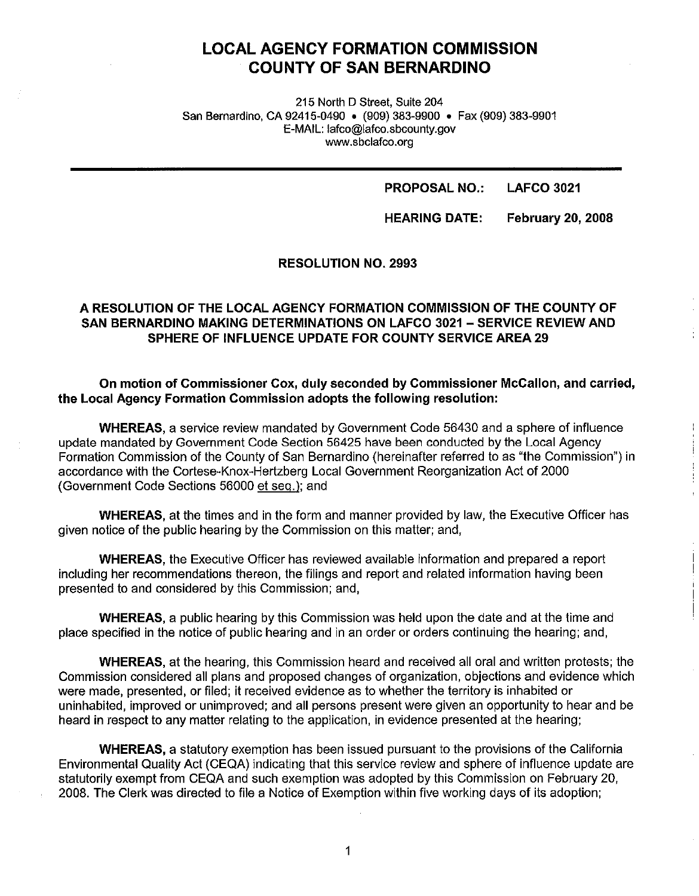# **LOCAL AGENCY FORMATION COMMISSION COUNTY OF SAN BERNARDINO**

215 North D Street, Suite 204 San Bernardino, CA 92415-0490 • (909) 383-9900 • Fax (909) 383-9901 E-MAIL: lafco@lafco.sbcounty.gov www.sbclafco.org

#### **PROPOSAL NO.: LAFCO 3021**

**HEARING DATE: February 20, 2008** 

#### **RESOLUTION NO. 2993**

# **A RESOLUTION OF THE LOCAL AGENCY FORMATION COMMISSION OF THE COUNTY OF SAN BERNARDINO MAKING DETERMINATIONS ON LAFCO 3021 - SERVICE REVIEW AND SPHERE OF INFLUENCE UPDATE FOR COUNTY SERVICE AREA 29**

#### **On motion of Commissioner Cox, duly seconded by Commissioner McCallon, and carried, the Local Agency Formation Commission adopts the following resolution:**

**WHEREAS,** a service review mandated by Government Code 56430 and a sphere of influence update mandated by Government Code Section 56425 have been conducted by the Local Agency Formation Commission of the County of San Bernardino (hereinafter referred to as "the Commission") in accordance with the Cortese-Knox-Hertzberg Local Government Reorganization Act of 2000 (Government Code Sections 56000 et seq.); and

**WHEREAS,** at the times and in the form and manner provided by law, the Executive Officer has given notice of the public hearing by the Commission on this matter; and,

**WHEREAS,** the Executive Officer has reviewed available information and prepared a report including her recommendations thereon, the filings and report and related information having been presented to and considered by this Commission; and,

**WHEREAS,** a public hearing by this Commission was held upon the date and at the time and place specified in the notice of public hearing and in an order or orders continuing the hearing; and,

**WHEREAS,** at the hearing, this Commission heard and received all oral and written protests; the Commission considered all plans and proposed changes of organization, objections and evidence which were made, presented, or filed; **it** received evidence as to whether the territory is inhabited or uninhabited, improved or unimproved; and all persons present were given an opportunity to hear and be heard in respect to any matter relating to the application, in evidence presented at the hearing;

**WHEREAS,** a statutory exemption has been issued pursuant to the provisions of the California Environmental Quality Act (CEQA) indicating that this service review and sphere of influence update are statutorily exempt from CEQA and such exemption was adopted by this Commission on February 20, 2008. The Clerk was directed to file a Notice of Exemption within five working days of its adoption;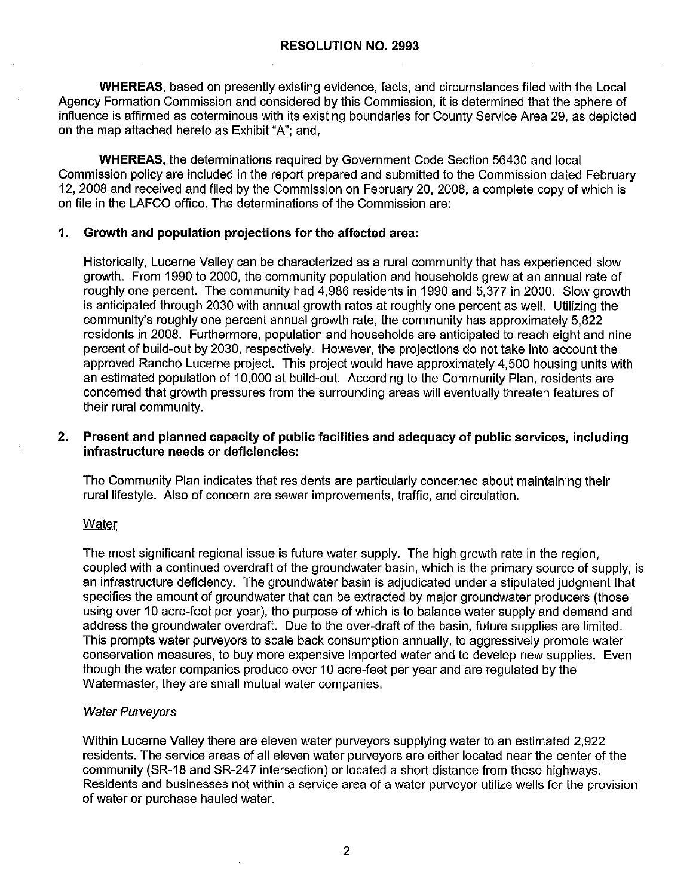**WHEREAS,** based on presently existing evidence, facts, and circumstances filed with the Local Agency Formation Commission and considered by this Commission, it is determined that the sphere of influence is affirmed as coterminous with its existing boundaries for County Service Area 29, as depicted on the map attached hereto as Exhibit "A"; and,

**WHEREAS,** the determinations required by Government Code Section 56430 and local Commission policy are included in the report prepared and submitted to the Commission dated February 12, 2008 and received and filed by the Commission on February 20, 2008, a complete copy of which is on file in the LAFCO office. The determinations of the Commission are:

#### **1. Growth and population projections for the affected area:**

Historically, Lucerne Valley can be characterized as a rural community that has experienced slow growth. From 1990 to 2000, the community population and households grew at an annual rate of roughly one percent. The community had 4,986 residents in 1990 and 5,377 in 2000. Slow growth is anticipated through 2030 with annual growth rates at roughly one percent as well. Utilizing the community's roughly one percent annual growth rate, the community has approximately 5,822 residents in 2008. Furthermore, population and households are anticipated to reach eight and nine percent of build-out by 2030, respectively. However, the projections do not take into account the approved Rancho Lucerne project. This project would have approximately 4,500 housing units with an estimated population of 10,000 at build-out. According to the Community Plan, residents are concerned that growth pressures from the surrounding areas will eventually threaten features of their rural community.

#### **2. Present and planned capacity of public facilities and adequacy of public services, including infrastructure needs or deficiencies:**

The Community Plan indicates that residents are particularly concerned about maintaining their rural lifestyle. Also of concern are sewer improvements, traffic, and circulation.

#### Water

The most significant regional issue is future water supply. The high growth rate in the region, coupled with a continued overdraft of the groundwater basin, which is the primary source of supply, is an infrastructure deficiency. The groundwater basin is adjudicated under a stipulated judgment that specifies the amount of groundwater that can be extracted by major groundwater producers (those using over 10 acre-feet per year), the purpose of which is to balance water supply and demand and address the groundwater overdraft. Due to the over-draft of the basin, future supplies are limited. This prompts water purveyors to scale back consumption annually, to aggressively promote water conservation measures, to buy more expensive imported water and to develop new supplies. Even though the water companies produce over 10 acre-feet per year and are regulated by the Watermaster, they are small mutual water companies.

#### Water Purveyors

Within Lucerne Valley there are eleven water purveyors supplying water to an estimated 2,922 residents. The service areas of all eleven water purveyors are either located near the center of the community (SR-18 and SR-247 intersection) or located a short distance from these highways. Residents and businesses not within a service area of a water purveyor utilize wells for the provision of water or purchase hauled water.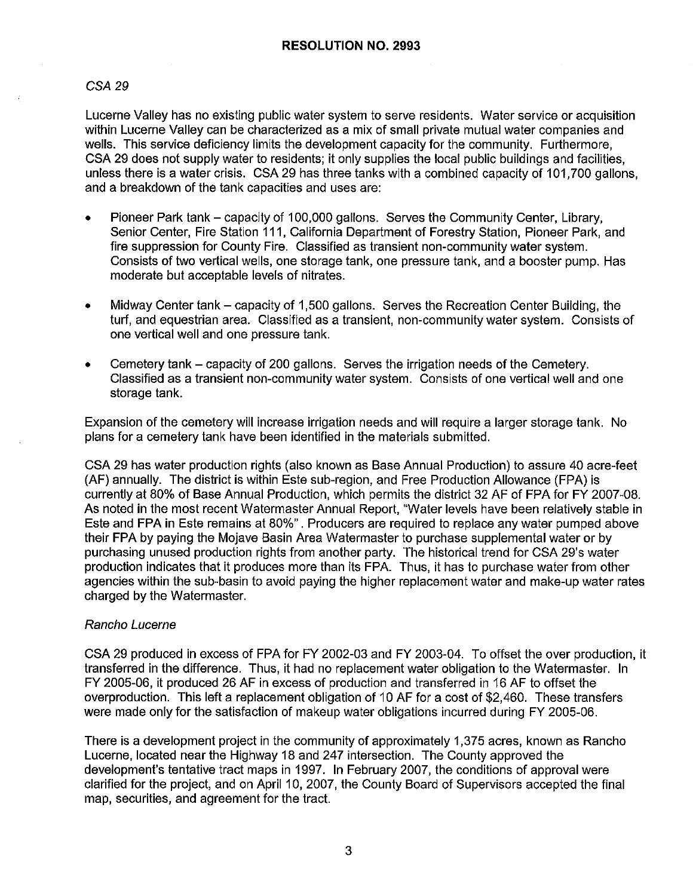#### *CSA29*

Lucerne Valley has no existing public water system to serve residents. Water service or acquisition within Lucerne Valley can be characterized as a mix of small private mutual water companies and wells. This service deficiency limits the development capacity for the community. Furthermore, CSA 29 does not supply water to residents; it only supplies the local public buildings and facilities, unless there is a water crisis. CSA 29 has three tanks with a combined capacity of 101,700 gallons, and a breakdown of the tank capacities and uses are:

- Pioneer Park tank capacity of 100,000 gallons. Serves the Community Center, Library, Senior Center, Fire Station 111, California Department of Forestry Station, Pioneer Park, and fire suppression for County Fire. Classified as transient non-community water system. Consists of two vertical wells, one storage tank, one pressure tank, and a booster pump. Has moderate but acceptable levels of nitrates.
- Midway Center tank capacity of 1,500 gallons. Serves the Recreation Center Building, the turf, and equestrian area. Classified as a transient, non-community water system. Consists of one vertical well and one pressure tank.
- Cemetery tank capacity of 200 gallons. Serves the irrigation needs of the Cemetery. Classified as a transient non-community water system. Consists of one vertical well and one storage tank.

Expansion of the cemetery will increase irrigation needs and will require a larger storage tank. No plans for a cemetery tank have been identified in the materials submitted.

CSA 29 has water production rights (also known as Base Annual Production) to assure 40 acre-feet (AF) annually. The district is within Este sub-region, and Free Production Allowance (FPA) is currently at 80% of Base Annual Production, which permits the district 32 AF of FPA for FY 2007-08. As noted in the most recent Watermaster Annual Report, "Water levels have been relatively stable in Este and FPA in Este remains at 80%". Producers are required to replace any water pumped above their FPA by paying the Mojave Basin Area Watermaster to purchase supplemental water or by purchasing unused production rights from another party. The historical trend for CSA 29's water production indicates that it produces more than its FPA. Thus, it has to purchase water from other agencies within the sub-basin to avoid paying the higher replacement water and make-up water rates charged by the Watermaster.

#### Rancho Lucerne

CSA 29 produced in excess of FPA for FY 2002-03 and FY 2003-04. To offset the over production, it transferred in the difference. Thus, it had no replacement water obligation to the Watermaster. In FY 2005-06, it produced 26 AF in excess of production and transferred in 16 AF to offset the overproduction. This left a replacement obligation of 10 AF for a cost of \$2,460. These transfers were made only for the satisfaction of makeup water obligations incurred during FY 2005-06.

There is a development project in the community of approximately 1,375 acres, known as Rancho Lucerne, located near the Highway 18 and 247 intersection. The County approved the development's tentative tract maps in 1997. In February 2007, the conditions of approval were clarified for the project, and on April 10, 2007, the County Board of Supervisors accepted the final map, securities, and agreement for the tract.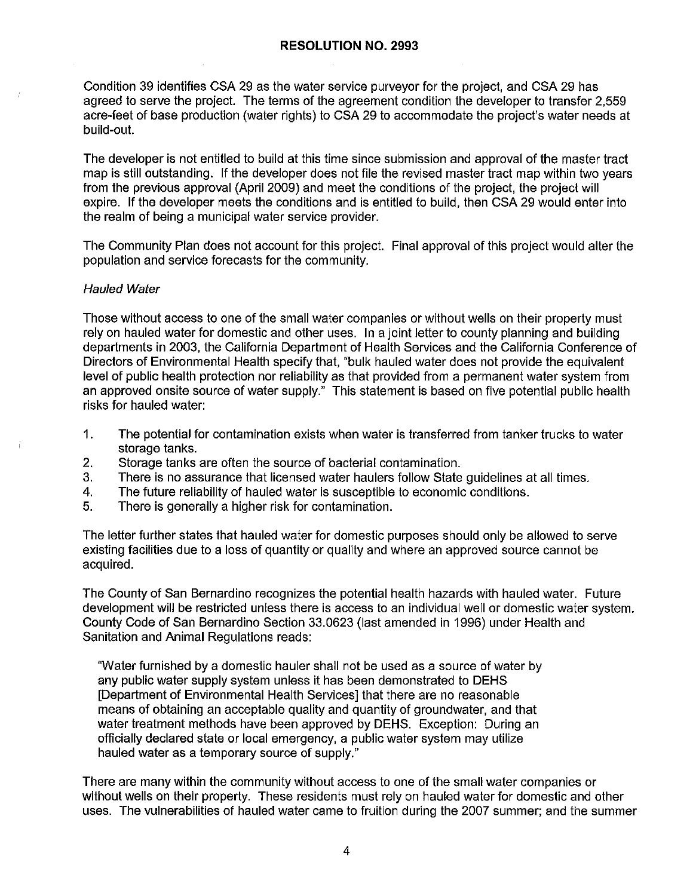Condition 39 identifies CSA 29 as the water service purveyor for the project, and CSA 29 has agreed to serve the project. The terms of the agreement condition the developer to transfer 2,559 acre-feet of base production (water rights) to CSA 29 to accommodate the project's water needs at build-out.

The developer is not entitled to build at this time since submission and approval of the master tract map is still outstanding. If the developer does not file the revised master tract map within two years from the previous approval (April 2009) and meet the conditions of the project, the project will expire. If the developer meets the conditions and is entitled to build, then CSA 29 would enter into the realm of being a municipal water service provider.

The Community Plan does not account for this project. Final approval of this project would alter the population and service forecasts for the community.

#### Hauled Water

Those without access to one of the small water companies or without wells on their property must rely on hauled water for domestic and other uses. In a joint letter to county planning and building departments in 2003, the California Department of Health Services and the California Conference of Directors of Environmental Health specify that, "bulk hauled water does not provide the equivalent level of public health protection nor reliability as that provided from a permanent water system from an approved onsite source of water supply." This statement is based on five potential public health risks for hauled water:

- 1. The potential for contamination exists when water is transferred from tanker trucks to water storage tanks.
- 2. Storage tanks are often the source of bacterial contamination.
- 3. There is no assurance that licensed water haulers follow State guidelines at all times.
- 4. The future reliability of hauled water is susceptible to economic conditions.
- 5. There is generally a higher risk for contamination.

The letter further states that hauled water for domestic purposes should only be allowed to serve existing facilities due to a loss of quantity or quality and where an approved source cannot be acquired.

The County of San Bernardino recognizes the potential health hazards with hauled water. Future development will be restricted unless there is access to an individual well or domestic water system. County Code of San Bernardino Section 33.0623 (last amended in 1996) under Health and Sanitation and Animal Regulations reads:

"Water furnished by a domestic hauler shall not be used as a source of water by any public water supply system unless it has been demonstrated to DEHS [Department of Environmental Health Services] that there are no reasonable means of obtaining an acceptable quality and quantity of groundwater, and that water treatment methods have been approved by DEHS. Exception: During an officially declared state or local emergency, a public water system may utilize hauled water as a temporary source of supply."

There are many within the community without access to one of the small water companies or without wells on their property. These residents must rely on hauled water for domestic and other uses. The vulnerabilities of hauled water came to fruition during the 2007 summer; and the summer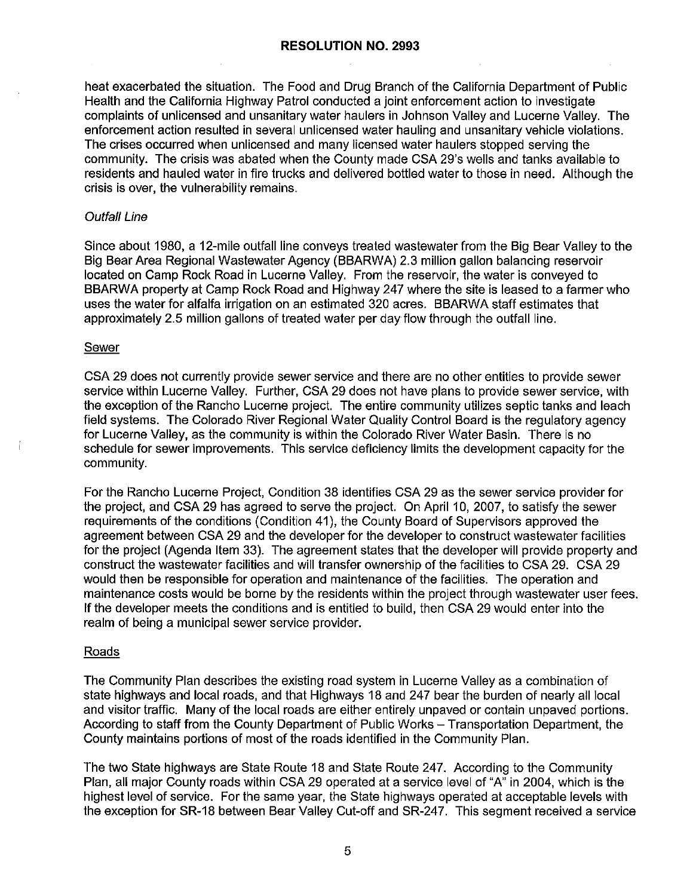#### **RESOLUTION NO. 2993**

heat exacerbated the situation. The Food and Drug Branch of the California Department of Public Health and the California Highway Patrol conducted a joint enforcement action to investigate complaints of unlicensed and unsanitary water haulers in Johnson Valley and Lucerne Valley. The enforcement action resulted in several unlicensed water hauling and unsanitary vehicle violations. The crises occurred when unlicensed and many licensed water haulers stopped serving the community. The crisis was abated when the County made CSA 29's wells and tanks available to residents and hauled water in fire trucks and delivered bottled water to those in need. Although the crisis is over, the vulnerability remains.

#### Outfall Line

Since about 1980, a 12-mile outfall line conveys treated wastewater from the Big Bear Valley to the Big Bear Area Regional Wastewater Agency (BBARWA) 2.3 million gallon balancing reservoir located on Camp Rock Road in Lucerne Valley. From the reservoir, the water is conveyed to BBARWA property at Camp Rock Road and Highway 247 where the site is leased to a farmer who uses the water for alfalfa irrigation on an estimated 320 acres. BBARWA staff estimates that approximately 2.5 million gallons of treated water per day flow through the outfall line.

#### Sewer

CSA 29 does not currently provide sewer service and there are no other entities to provide sewer service within Lucerne Valley. Further, CSA 29 does not have plans to provide sewer service, with the exception of the Rancho Lucerne project. The entire community utilizes septic tanks and leach field systems. The Colorado River Regional Water Quality Control Board is the regulatory agency for Lucerne Valley, as the community is within the Colorado River Water Basin. There is no schedule for sewer improvements. This service deficiency limits the development capacity for the community.

For the Rancho Lucerne Project, Condition 38 identifies CSA 29 as the sewer service provider for the project, and CSA 29 has agreed to serve the project. On April 10, 2007, to satisfy the sewer requirements of the conditions (Condition 41 ), the County Board of Supervisors approved the agreement between CSA 29 and the developer for the developer to construct wastewater facilities for the project (Agenda Item 33). The agreement states that the developer will provide property and construct the wastewater facilities and will transfer ownership of the facilities to CSA 29. CSA 29 would then be responsible for operation and maintenance of the facilities. The operation and maintenance costs would be borne by the residents within the project through wastewater user fees. If the developer meets the conditions and is entitled to build, then CSA 29 would enter into the realm of being a municipal sewer service provider.

#### Roads

The Community Plan describes the existing road system in Lucerne Valley as a combination of state highways and local roads, and that Highways 18 and 247 bear the burden of nearly all local and visitor traffic. Many of the local roads are either entirely unpaved or contain unpaved portions. According to staff from the County Department of Public Works - Transportation Department, the County maintains portions of most of the roads identified in the Community Plan.

The two State highways are State Route 18 and State Route 247. According to the Community Plan, all major County roads within CSA 29 operated at a service level of "A" in 2004, which is the highest level of service. For the same year, the State highways operated at acceptable levels with the exception for SR-18 between Bear Valley Cut-off and SR-247. This segment received a service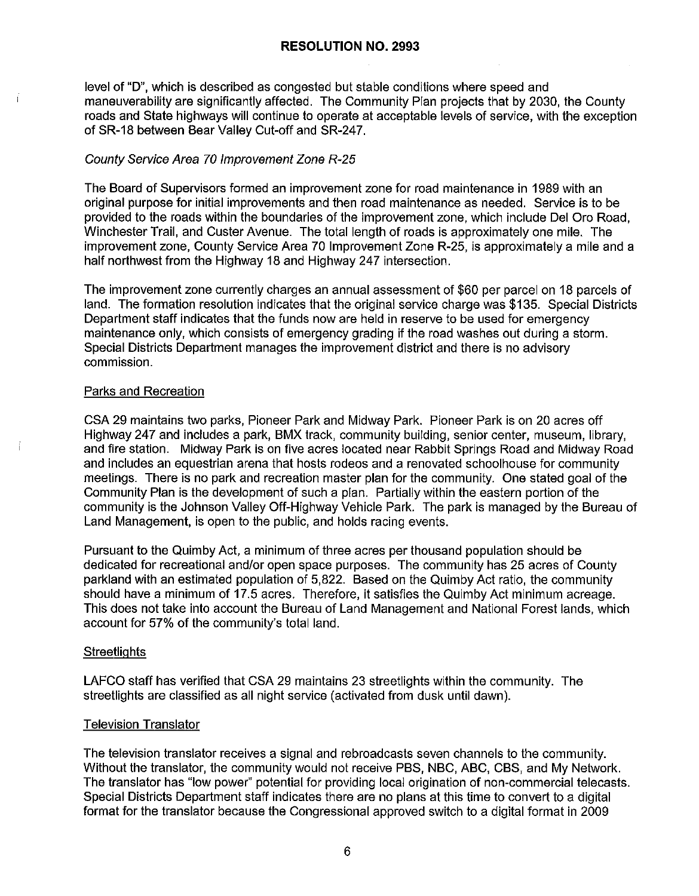level of "D", which is described as congested but stable conditions where speed and maneuverability are significantly affected. The Community Plan projects that by 2030, the County roads and State highways will continue to operate at acceptable levels of service, with the exception of SR-18 between Bear Valley Cut-off and SR-247.

# County Service Area 70 Improvement Zone R-25

The Board of Supervisors formed an improvement zone for road maintenance in 1989 with an original purpose for initial improvements and then road maintenance as needed. Service is to be provided to the roads within the boundaries of the improvement zone, which include Del Oro Road, Winchester Trail, and Custer Avenue. The total length of roads is approximately one mile. The improvement zone, County Service Area 70 Improvement Zone R-25, is approximately a mile and a half northwest from the Highway 18 and Highway 247 intersection.

The improvement zone currently charges an annual assessment of \$60 per parcel on 18 parcels of land. The formation resolution indicates that the original service charge was \$135. Special Districts Department staff indicates that the funds now are held in reserve to be used for emergency maintenance only, which consists of emergency grading if the road washes out during a storm. Special Districts Department manages the improvement district and there is no advisory commission.

# Parks and Recreation

CSA 29 maintains two parks, Pioneer Park and Midway Park. Pioneer Park is on 20 acres off Highway 247 and includes a park, BMX track, community building, senior center, museum, library, and fire station. Midway Park is on five acres located near Rabbit Springs Road and Midway Road and includes an equestrian arena that hosts rodeos and a renovated schoolhouse for community meetings. There is no park and recreation master plan for the community. One stated goal of the Community Plan is the development of such a plan. Partially within the eastern portion of the community is the Johnson Valley Off-Highway Vehicle Park. The park is managed by the Bureau of Land Management, is open to the public, and holds racing events.

Pursuant to the Quimby Act, a minimum of three acres per thousand population should be dedicated for recreational and/or open space purposes. The community has 25 acres of County parkland with an estimated population of 5,822. Based on the Quimby Act ratio, the community should have a minimum of 17.5 acres. Therefore, ii satisfies the Quimby Act minimum acreage. This does not take into account the Bureau of Land Management and National Forest lands, which account for 57% of the community's total land.

# **Streetlights**

LAFCO staff has verified that CSA 29 maintains 23 streetlights within the community. The streetlights are classified as all night service (activated from dusk until dawn).

# Television Translator

The television translator receives a signal and rebroadcasts seven channels to the community. Without the translator, the community would not receive PBS, NBC, ABC, CBS, and My Network. The translator has "low power" potential for providing local origination of non-commercial telecasts. Special Districts Department staff indicates there are no plans at this time to convert to a digital format for the translator because the Congressional approved switch to a digital format in 2009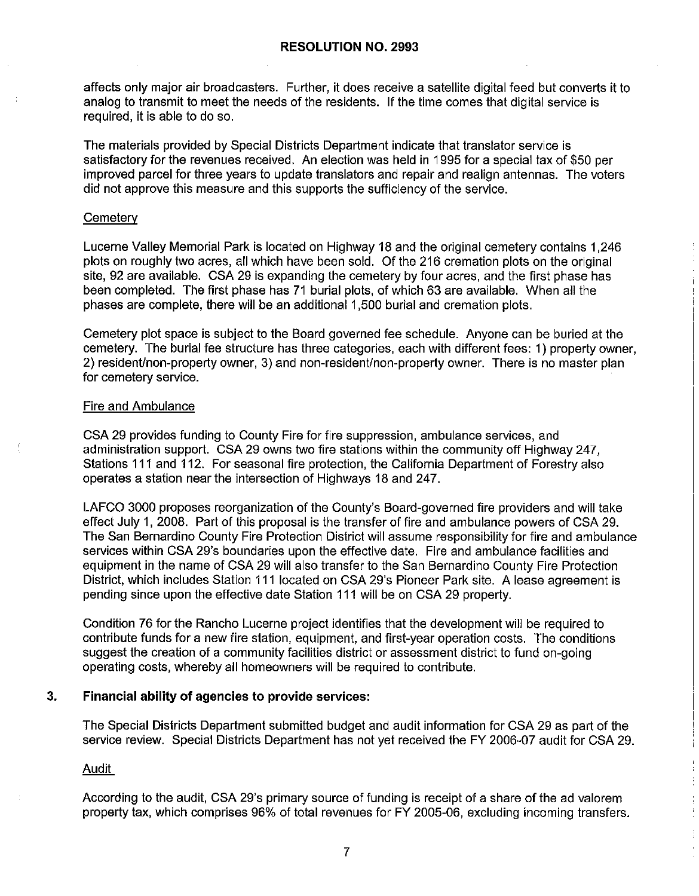affects only major air broadcasters. Further, it does receive a satellite digital feed but converts it to analog to transmit to meet the needs of the residents. If the time comes that digital service is required, it is able to do so.

The materials provided by Special Districts Department indicate that translator service is satisfactory for the revenues received. An election was held in 1995 for a special tax of \$50 per improved parcel for three years to update translators and repair and realign antennas. The voters did not approve this measure and this supports the sufficiency of the service.

#### **Cemetery**

Lucerne Valley Memorial Park is located on Highway 18 and the original cemetery contains 1,246 plots on roughly two acres, all which have been sold. Of the 216 cremation plots on the original site, 92 are available. CSA 29 is expanding the cemetery by four acres, and the first phase has been completed. The first phase has 71 burial plots, of which 63 are available. When all the phases are complete, there will be an additional 1,500 burial and cremation plots.

Cemetery plot space is subject to the Board governed fee schedule. Anyone can be buried at the cemetery. The burial fee structure has three categories, each with different fees: 1) property owner, 2) resident/non-property owner, 3) and non-resident/non-property owner. There is no master plan for cemetery service.

#### Fire and Ambulance

CSA 29 provides funding to County Fire for fire suppression, ambulance services, and administration support. CSA 29 owns two fire stations within the community off Highway 247, Stations 111 and 112. For seasonal fire protection, the California Department of Forestry also operates a station near the intersection of Highways 18 and 247.

LAFCO 3000 proposes reorganization of the County's Board-governed fire providers and will take effect July 1, 2008. Part of this proposal is the transfer of fire and ambulance powers of CSA 29. The San Bernardino County Fire Protection District will assume responsibility for fire and ambulance services within CSA 29's boundaries upon the effective date. Fire and ambulance facilities and equipment in the name of CSA 29 will also transfer to the San Bernardino County Fire Protection District, which includes Station 111 located on CSA 29's Pioneer Park site. A lease agreement is pending since upon the effective date Station 111 will be on CSA 29 property.

Condition 76 for the Rancho Lucerne project identifies that the development will be required to contribute funds for a new fire station, equipment, and first-year operation costs. The conditions suggest the creation of a community facilities district or assessment district to fund on-going operating costs, whereby all homeowners will be required to contribute.

# **3. Financial ability of agencies to provide services:**

The Special Districts Department submitted budget and audit information for CSA 29 as part of the service review. Special Districts Department has not yet received the FY 2006-07 audit for CSA 29.

Audit

According to the audit, CSA 29's primary source of funding is receipt of a share of the ad valorem property tax, which comprises 96% of total revenues for FY 2005-06, excluding incoming transfers.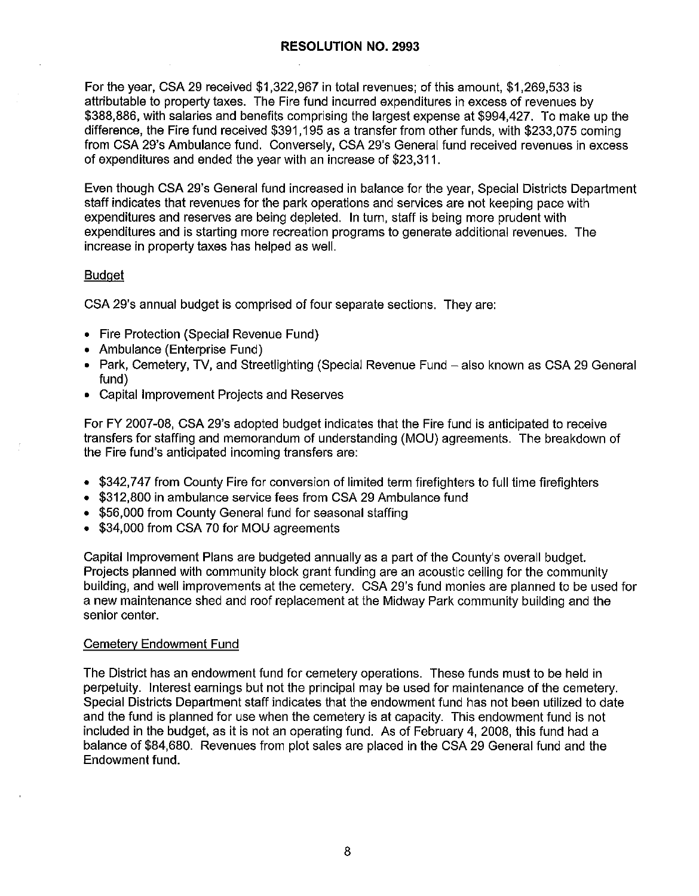For the year, CSA 29 received \$1,322,967 in total revenues; of this amount, \$1,269,533 is attributable to property taxes. The Fire fund incurred expenditures in excess of revenues by \$388,886, with salaries and benefits comprising the largest expense at \$994,427. To make up the difference, the Fire fund received \$391,195 as a transfer from other funds, with \$233,075 coming from CSA 29's Ambulance fund. Conversely, CSA 29's General fund received revenues in excess of expenditures and ended the year with an increase of \$23,311.

Even though CSA 29's General fund increased in balance for the year, Special Districts Department staff indicates that revenues for the park operations and services are not keeping pace with expenditures and reserves are being depleted. In turn, staff is being more prudent with expenditures and is starting more recreation programs to generate additional revenues. The increase in property taxes has helped as well.

#### Budget

CSA 29's annual budget is comprised of four separate sections. They are:

- Fire Protection (Special Revenue Fund)
- Ambulance (Enterprise Fund)
- Park, Cemetery, TV, and Streetlighting (Special Revenue Fund also known as CSA 29 General fund)
- Capital Improvement Projects and Reserves

For FY 2007-08, CSA 29's adopted budget indicates that the Fire fund is anticipated to receive transfers for staffing and memorandum of understanding (MOU) agreements. The breakdown of the Fire fund's anticipated incoming transfers are:

- \$342,747 from County Fire for conversion of limited term firefighters to full time firefighters
- \$312,800 in ambulance service fees from CSA 29 Ambulance fund
- \$56,000 from County General fund for seasonal staffing
- \$34,000 from CSA 70 for MOU agreements

Capital Improvement Plans are budgeted annually as a part of the County's overall budget. Projects planned with community block grant funding are an acoustic ceiling for the community building, and well improvements at the cemetery. CSA 29's fund monies are planned to be used for a new maintenance shed and roof replacement at the Midway Park community building and the senior center.

#### Cemetery Endowment Fund

The District has an endowment fund for cemetery operations. These funds must to be held in perpetuity. Interest earnings but not the principal may be used for maintenance of the cemetery. Special Districts Department staff indicates that the endowment fund has not been utilized to date and the fund is planned for use when the cemetery is at capacity. This endowment fund is not included in the budget, as it is not an operating fund. As of February 4, 2008, this fund had a balance of \$84,680. Revenues from plot sales are placed in the CSA 29 General fund and the Endowment fund.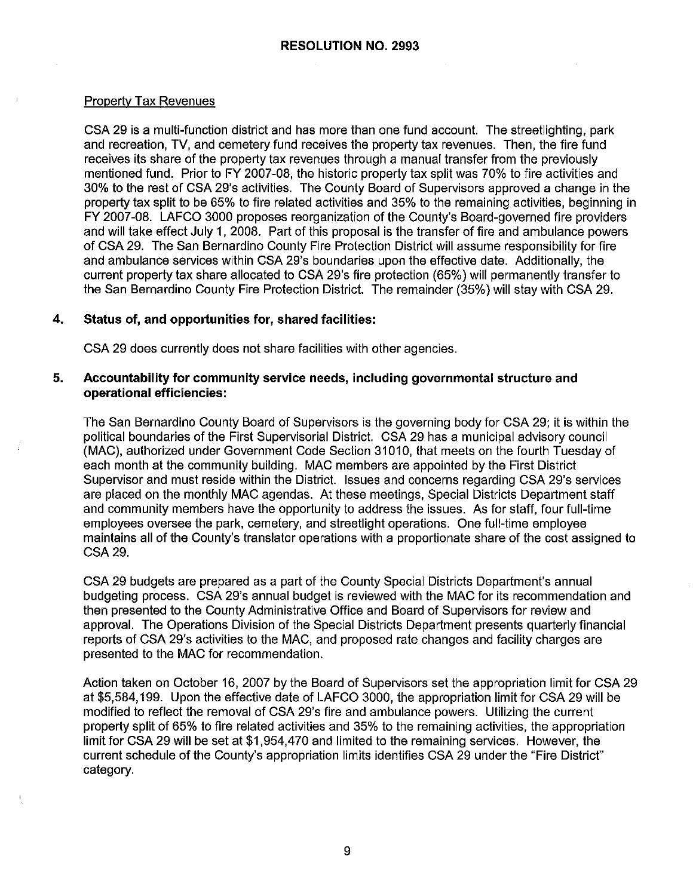#### Property Tax Revenues

CSA 29 is a multi-function district and has more than one fund account. The streetlighting, park and recreation, TV, and cemetery fund receives the property tax revenues. Then, the fire fund receives its share of the property tax revenues through a manual transfer from the previously mentioned fund. Prior to FY 2007-08, the historic property tax split was 70% to fire activities and 30% to the rest of CSA 29's activities. The County Board of Supervisors approved a change in the property tax split to be 65% to fire related activities and 35% to the remaining activities, beginning in FY 2007-08. LAFCO 3000 proposes reorganization of the County's Board-governed fire providers and will take effect July 1, 2008. Part of this proposal is the transfer of fire and ambulance powers of CSA 29. The San Bernardino County Fire Protection District will assume responsibility for fire and ambulance services within CSA 29's boundaries upon the effective date. Additionally, the current property tax share allocated to CSA 29's fire protection (65%) will permanently transfer to the San Bernardino County Fire Protection District. The remainder (35%) will stay with CSA 29.

#### **4. Status of, and opportunities for, shared facilities:**

CSA 29 does currently does not share facilities with other agencies.

#### **5. Accountability for community service needs, including governmental structure and operational efficiencies:**

The San Bernardino County Board of Supervisors is the governing body for CSA 29; ii is within the political boundaries of the First Supervisorial District. CSA 29 has a municipal advisory council (MAC), authorized under Government Code Section 31010, that meets on the fourth Tuesday of each month at the community building. MAC members are appointed by the First District Supervisor and must reside within the District. Issues and concerns regarding CSA 29's services are placed on the monthly MAC agendas. At these meetings, Special Districts Department staff and community members have the opportunity to address the issues. As for staff, four full-time employees oversee the park, cemetery, and streetlight operations. One full-time employee maintains all of the County's translator operations with a proportionate share of the cost assigned to CSA29.

CSA 29 budgets are prepared as a part of the County Special Districts Department's annual budgeting process. CSA 29's annual budget is reviewed with the MAC for its recommendation and then presented to the County Administrative Office and Board of Supervisors for review and approval. The Operations Division of the Special Districts Department presents quarterly financial reports of CSA 29's activities to the MAC, and proposed rate changes and facility charges are presented to the MAC for recommendation.

Action taken on October 16, 2007 by the Board of Supervisors set the appropriation limit for CSA 29 at \$5,584,199. Upon the effective date of LAFCO 3000, the appropriation limit for CSA 29 will be modified to reflect the removal of CSA 29's fire and ambulance powers. Utilizing the current property split of 65% to fire related activities and 35% to the remaining activities, the appropriation limit for CSA 29 will be set at \$1,954,470 and limited to the remaining services. However, the current schedule of the County's appropriation limits identifies CSA 29 under the "Fire District" category.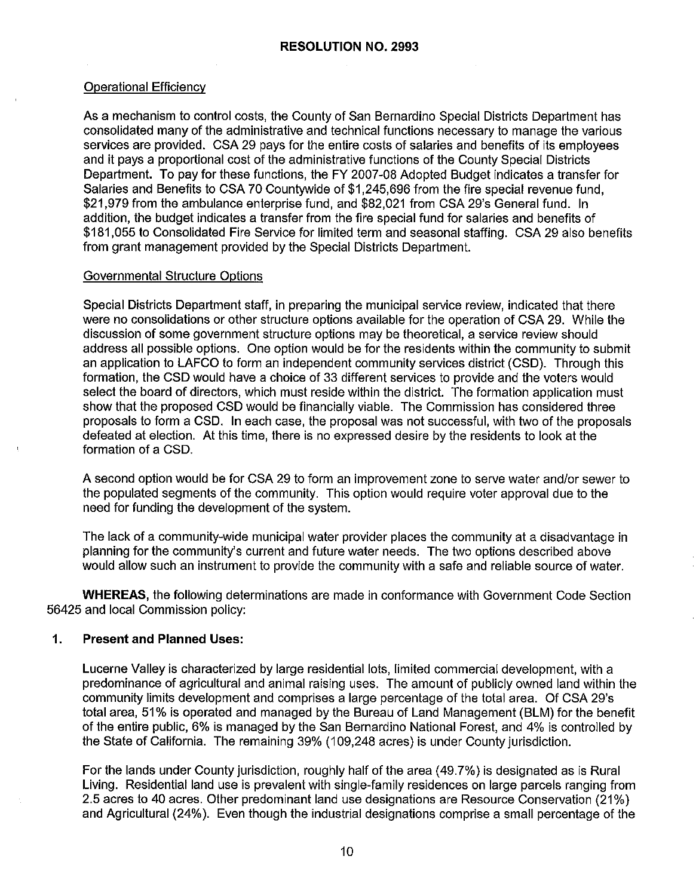# Operational Efficiency

As a mechanism to control costs, the County of San Bernardino Special Districts Department has consolidated many of the administrative and technical functions necessary to manage the various services are provided. CSA 29 pays for the entire costs of salaries and benefits of its employees and it pays a proportional cost of the administrative functions of the County Special Districts Department. To pay for these functions, the FY 2007-08 Adopted Budget indicates a transfer for Salaries and Benefits to CSA 70 Countywide of \$1,245,696 from the fire special revenue fund, \$21,979 from the ambulance enterprise fund, and \$82,021 from CSA 29's General fund. In addition, the budget indicates a transfer from the fire special fund for salaries and benefits of \$181,055 to Consolidated Fire Service for limited term and seasonal staffing. CSA 29 also benefits from grant management provided by the Special Districts Department.

#### Governmental Structure Options

Special Districts Department staff, in preparing the municipal service review, indicated that there were no consolidations or other structure options available for the operation of CSA 29. While the discussion of some government structure options may be theoretical, a service review should address all possible options. One option would be for the residents within the community to submit an application to LAFCO to form an independent community services district (CSD). Through this formation, the CSD would have a choice of 33 different services to provide and the voters would select the board of directors, which must reside within the district. The formation application must show that the proposed CSD would be financially viable. The Commission has considered three proposals to form a CSD. In each case, the proposal was not successful, with two of the proposals defeated at election. At this time, there is no expressed desire by the residents to look at the formation of a CSD.

A second option would be for CSA 29 to form an improvement zone to serve water and/or sewer to the populated segments of the community. This option would require voter approval due to the need for funding the development of the system.

The lack of a community-wide municipal water provider places the community at a disadvantage in planning for the community's current and future water needs. The two options described above would allow such an instrument to provide the community with a safe and reliable source of water.

**WHEREAS,** the following determinations are made in conformance with Government Code Section 56425 and local Commission policy:

# **1. Present and Planned Uses:**

Lucerne Valley is characterized by large residential lots, limited commercial development, with a predominance of agricultural and animal raising uses. The amount of publicly owned land within the community limits development and comprises a large percentage of the total area. Of CSA 29's total area, 51 % is operated and managed by the Bureau of Land Management (BLM) for the benefit of the entire public, 6% is managed by the San Bernardino National Forest, and 4% is controlled by the State of California. The remaining 39% (109,248 acres) is under County jurisdiction.

For the lands under County jurisdiction, roughly half of the area (49.7%) is designated as is Rural Living. Residential land use is prevalent with single-family residences on large parcels ranging from 2.5 acres to 40 acres. other predominant land use designations are Resource Conservation (21%) and Agricultural (24% ). Even though the industrial designations comprise a small percentage of the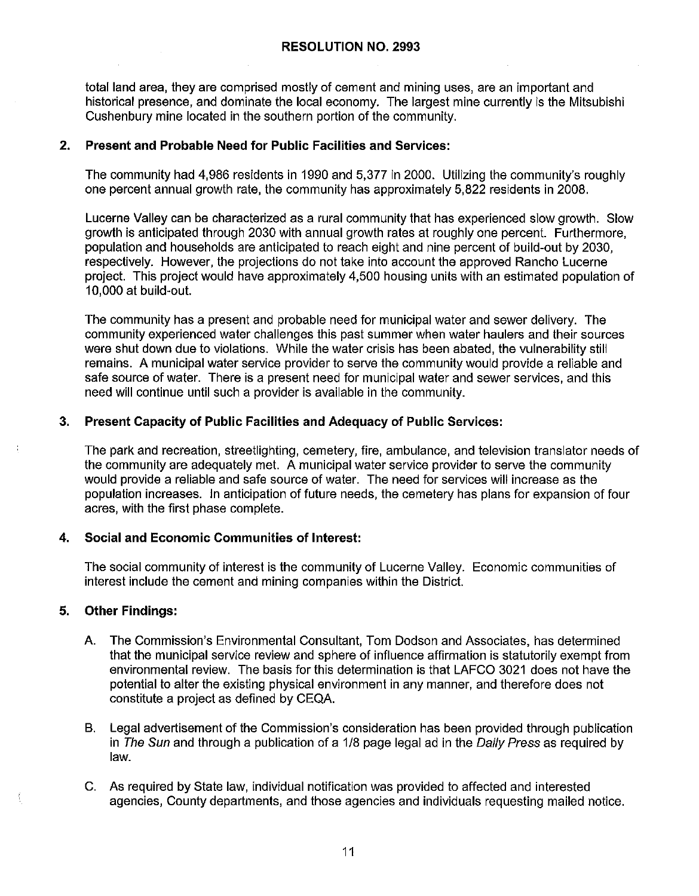total land area, they are comprised mostly of cement and mining uses, are an important and historical presence, and dominate the local economy. The largest mine currently is the Mitsubishi Cushenbury mine located in the southern portion of the community.

#### **2. Present and Probable Need for Public Facilities and Services:**

The community had 4,986 residents in 1990 and 5,377 in 2000. Utilizing the community's roughly one percent annual growth rate, the community has approximately 5,822 residents in 2008.

Lucerne Valley can be characterized as a rural community that has experienced slow growth. Slow growth is anticipated through 2030 with annual growth rates at roughly one percent. Furthermore, population and households are anticipated to reach eight and nine percent of build-out by 2030, respectively. However, the projections do not take into account the approved Rancho Lucerne project. This project would have approximately 4,500 housing units with an estimated population of 10,000 at build-out.

The community has a present and probable need for municipal water and sewer delivery. The community experienced water challenges this past summer when water haulers and their sources were shut down due to violations. While the water crisis has been abated, the vulnerability still remains. A municipal water service provider to serve the community would provide a reliable and safe source of water. There is a present need for municipal water and sewer services, and this need will continue until such a provider is available in the community.

# **3. Present Capacity of Public Facilities and Adequacy of Public Services:**

The park and recreation, streetlighting, cemetery, fire, ambulance, and television translator needs of the community are adequately met. A municipal water service provider to serve the community would provide a reliable and safe source of water. The need for services will increase as the population increases. In anticipation of future needs, the cemetery has plans for expansion of four acres, with the first phase complete.

# **4. Social and Economic Communities of Interest:**

The social community of interest is the community of Lucerne Valley. Economic communities of interest include the cement and mining companies within the District.

# **5. Other Findings:**

- A. The Commission's Environmental Consultant, Tom Dodson and Associates, has determined that the municipal service review and sphere of influence affirmation is statutorily exempt from environmental review. The basis for this determination is that LAFCO 3021 does not have the potential to alter the existing physical environment in any manner, and therefore does not constitute a project as defined by CEQA.
- B. Legal advertisement of the Commission's consideration has been provided through publication in The Sun and through a publication of a 1/8 page legal ad in the Daily Press as required by law.
- C. As required by State law, individual notification was provided to affected and interested agencies, County departments, and those agencies and individuals requesting mailed notice.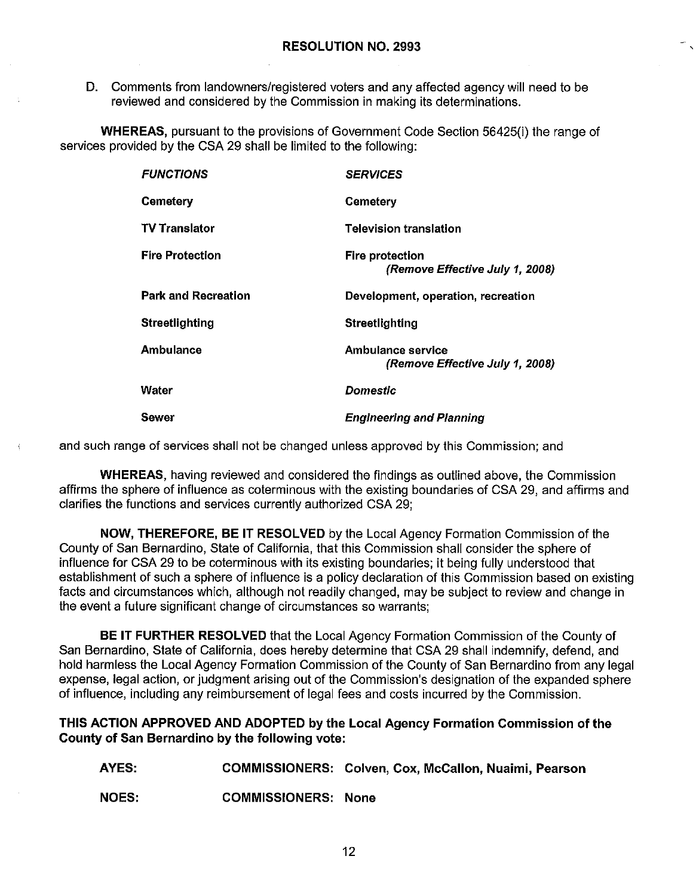D. Comments from landowners/registered voters and any affected agency will need to be reviewed and considered by the Commission in making its determinations.

**WHEREAS,** pursuant to the provisions of Government Code Section 56425(i) the range of services provided by the CSA 29 shall be limited to the following:

| <b>FUNCTIONS</b>           | <b>SERVICES</b>                                      |
|----------------------------|------------------------------------------------------|
| <b>Cemetery</b>            | <b>Cemetery</b>                                      |
| <b>TV Translator</b>       | Television translation                               |
| <b>Fire Protection</b>     | Fire protection<br>(Remove Effective July 1, 2008)   |
| <b>Park and Recreation</b> | Development, operation, recreation                   |
| Streetlighting             | Streetlighting                                       |
| Ambulance                  | Ambulance service<br>(Remove Effective July 1, 2008) |
| Water                      | Domestic                                             |
| Sewer                      | <b>Engineering and Planning</b>                      |

and such range of services shall not be changed unless approved by this Commission; and

**WHEREAS,** having reviewed and considered the findings as outlined above, the Commission affirms the sphere of influence as coterminous with the existing boundaries of CSA 29, and affirms and clarifies the functions and services currently authorized CSA 29;

**NOW, THEREFORE, BE IT RESOLVED** by the Local Agency Formation Commission of the County of San Bernardino, State of California, that this Commission shall consider the sphere of influence for CSA 29 to be coterminous with its existing boundaries; it being fully understood that establishment of such a sphere of influence is a policy declaration of this Commission based on existing facts and circumstances which, although not readily changed, may be subject to review and change in the event a future significant change of circumstances so warrants;

**BE IT FURTHER RESOLVED** that the Local Agency Formation Commission of the County of San Bernardino, State of California, does hereby determine that CSA 29 shall indemnify, defend, and hold harmless the Local Agency Formation Commission of the County of San Bernardino from any legal expense, legal action, or judgment arising out of the Commission's designation of the expanded sphere of influence, including any reimbursement of legal fees and costs incurred by the Commission.

#### **THIS ACTION APPROVED AND ADOPTED by the Local Agency Formation Commission of the County of San Bernardino by the following vote:**

**AYES:**  COMMISSIONERS: Colven, Cox, McCallon, Nuaimi, Pearson

**NOES:**  COMMISSIONERS: None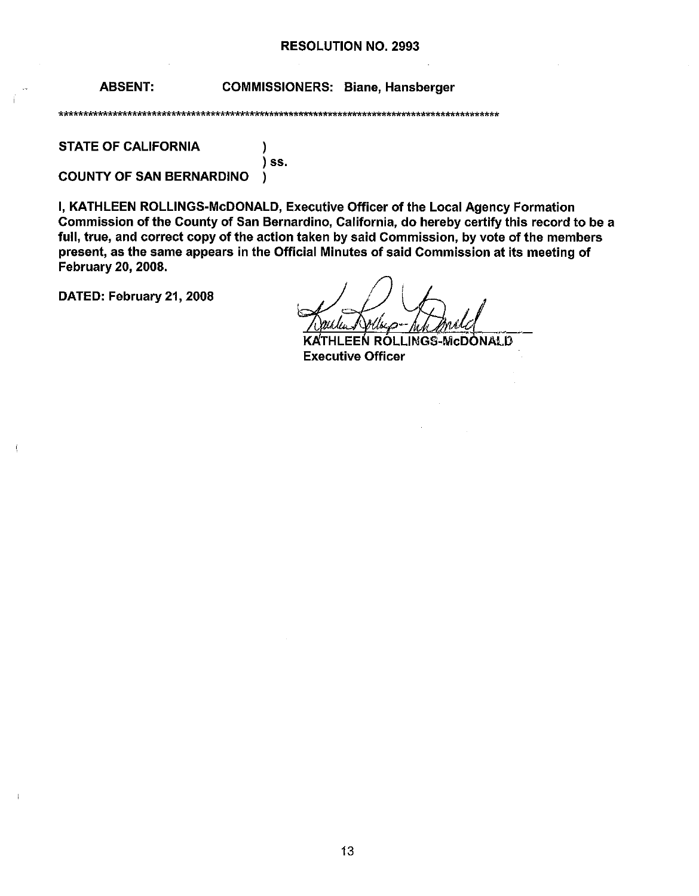#### RESOLUTION NO. 2993

ABSENT: COMMISSIONERS: Biane, Hansberger

\*\*\*\*\*\*\*\*\*\*\*\*\*\*\*\*\*\*\*\*\*\*\*\*\*\*\*\*\*\*\*\*\*\*\*\*\*\*\*\*\*\*\*\*\*\*\*\*\*\*\*\*\*\*\*\*\*\*\*\*\*\*\*\*\*\*\*\*\*\*\*\*\*\*\*\*\*\*\*\*\*\*\*\*\*\*\*\*\*\*

STATE OF CALIFORNIA (1)

) ss. COUNTY OF SAN BERNARDINO )

I, KATHLEEN ROLLINGS-McDONALD, Executive Officer of the Local Agency Formation Commission of the County of San Bernardino, California, do hereby certify this record to be a full, true, and correct copy of the action taken by said Commission, by vote of the members present, as the same appears in the Official Minutes of said Commission at its meeting of February 20, 2008. present, as the same appears in the Official Minutes of said Commitment<br>February 20, 2008 ,<br>DATED: February 21, 2008

 $\mathbf{I}$ 

KATHLEEN ROLLINGS-McDONALD Executive Officer